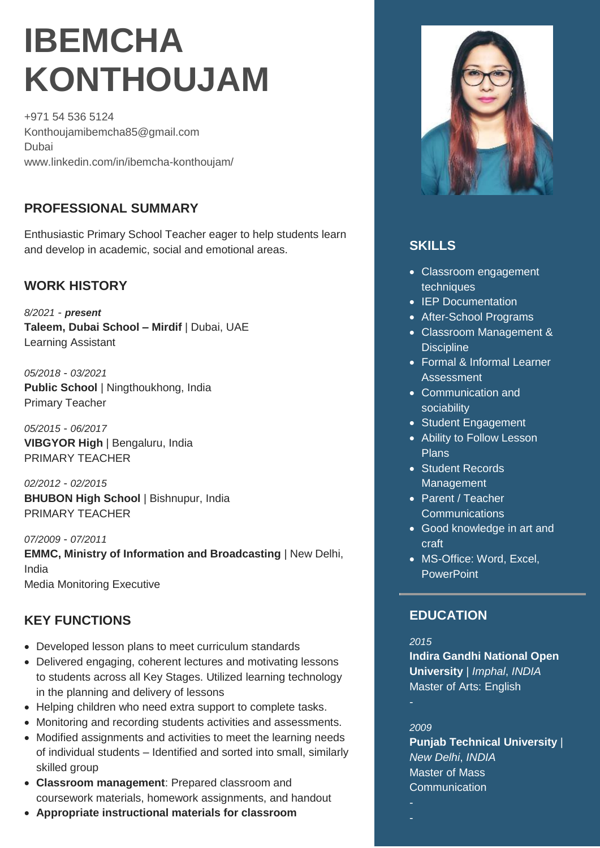# **IBEMCHA KONTHOUJAM**

+971 54 536 5124 Konthoujamibemcha85@gmail.com Dubai www.linkedin.com/in/ibemcha-konthoujam/

# **PROFESSIONAL SUMMARY**

Enthusiastic Primary School Teacher eager to help students learn and develop in academic, social and emotional areas.

## **WORK HISTORY**

*8/2021* - *present* **Taleem, Dubai School – Mirdif** | Dubai, UAE Learning Assistant

*05/2018* - *03/2021* **Public School** | Ningthoukhong, India Primary Teacher

*05/2015* - *06/2017* **VIBGYOR High** | Bengaluru, India PRIMARY TEACHER

*02/2012* - *02/2015* **BHUBON High School** | Bishnupur, India PRIMARY TEACHER

*07/2009* - *07/2011* **EMMC, Ministry of Information and Broadcasting** | New Delhi, India Media Monitoring Executive

# **KEY FUNCTIONS**

- Developed lesson plans to meet curriculum standards
- Delivered engaging, coherent lectures and motivating lessons to students across all Key Stages. Utilized learning technology in the planning and delivery of lessons
- Helping children who need extra support to complete tasks.
- Monitoring and recording students activities and assessments.
- Modified assignments and activities to meet the learning needs of individual students – Identified and sorted into small, similarly skilled group
- **Classroom management**: Prepared classroom and coursework materials, homework assignments, and handout
- **Appropriate instructional materials for classroom**



# **SKILLS**

- Classroom engagement techniques
- IEP Documentation
- After-School Programs
- Classroom Management & **Discipline**
- **Formal & Informal Learner** Assessment
- Communication and sociability
- Student Engagement
- Ability to Follow Lesson Plans
- Student Records Management
- Parent / Teacher **Communications**
- Good knowledge in art and craft
- MS-Office: Word, Excel, **PowerPoint**

## **EDUCATION**

*2015* **Indira Gandhi National Open University** | *Imphal*, *INDIA* Master of Arts: English

#### *2009*

**Punjab Technical University** | *New Delhi*, *INDIA* Master of Mass **Communication**